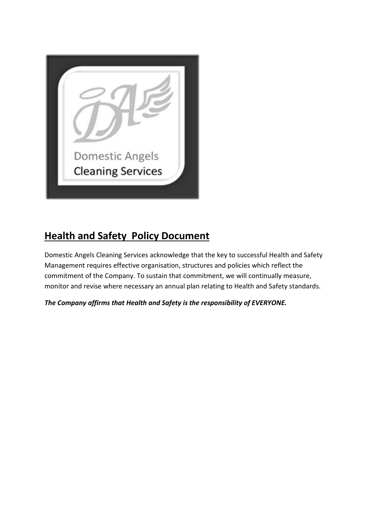

# **Health and Safety Policy Document**

Domestic Angels Cleaning Services acknowledge that the key to successful Health and Safety Management requires effective organisation, structures and policies which reflect the commitment of the Company. To sustain that commitment, we will continually measure, monitor and revise where necessary an annual plan relating to Health and Safety standards.

*The Company affirms that Health and Safety is the responsibility of EVERYONE.*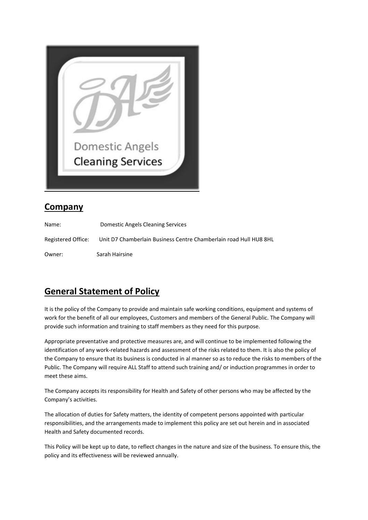

## **Company**

Name: Domestic Angels Cleaning Services Registered Office: Unit D7 Chamberlain Business Centre Chamberlain road Hull HU8 8HL Owner: Sarah Hairsine

# **General Statement of Policy**

It is the policy of the Company to provide and maintain safe working conditions, equipment and systems of work for the benefit of all our employees, Customers and members of the General Public. The Company will provide such information and training to staff members as they need for this purpose.

Appropriate preventative and protective measures are, and will continue to be implemented following the identification of any work-related hazards and assessment of the risks related to them. It is also the policy of the Company to ensure that its business is conducted in al manner so as to reduce the risks to members of the Public. The Company will require ALL Staff to attend such training and/ or induction programmes in order to meet these aims.

The Company accepts its responsibility for Health and Safety of other persons who may be affected by the Company's activities.

The allocation of duties for Safety matters, the identity of competent persons appointed with particular responsibilities, and the arrangements made to implement this policy are set out herein and in associated Health and Safety documented records.

This Policy will be kept up to date, to reflect changes in the nature and size of the business. To ensure this, the policy and its effectiveness will be reviewed annually.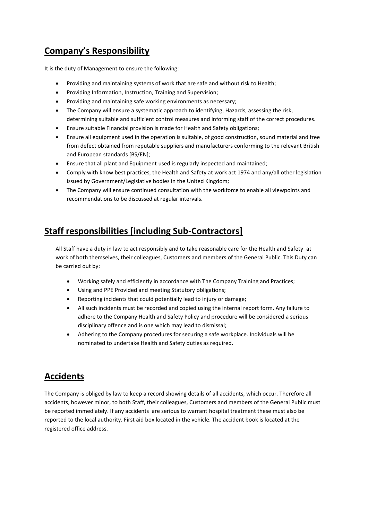# **Company's Responsibility**

It is the duty of Management to ensure the following:

- Providing and maintaining systems of work that are safe and without risk to Health;
- Providing Information, Instruction, Training and Supervision;
- Providing and maintaining safe working environments as necessary;
- The Company will ensure a systematic approach to identifying, Hazards, assessing the risk, determining suitable and sufficient control measures and informing staff of the correct procedures.
- Ensure suitable Financial provision is made for Health and Safety obligations;
- Ensure all equipment used in the operation is suitable, of good construction, sound material and free from defect obtained from reputable suppliers and manufacturers conforming to the relevant British and European standards [BS/EN];
- Ensure that all plant and Equipment used is regularly inspected and maintained;
- Comply with know best practices, the Health and Safety at work act 1974 and any/all other legislation issued by Government/Legislative bodies in the United Kingdom;
- The Company will ensure continued consultation with the workforce to enable all viewpoints and recommendations to be discussed at regular intervals.

#### **Staff responsibilities [including Sub-Contractors]**

All Staff have a duty in law to act responsibly and to take reasonable care for the Health and Safety at work of both themselves, their colleagues, Customers and members of the General Public. This Duty can be carried out by:

- Working safely and efficiently in accordance with The Company Training and Practices;
- Using and PPE Provided and meeting Statutory obligations;
- Reporting incidents that could potentially lead to injury or damage;
- All such incidents must be recorded and copied using the internal report form. Any failure to adhere to the Company Health and Safety Policy and procedure will be considered a serious disciplinary offence and is one which may lead to dismissal;
- Adhering to the Company procedures for securing a safe workplace. Individuals will be nominated to undertake Health and Safety duties as required.

#### **Accidents**

The Company is obliged by law to keep a record showing details of all accidents, which occur. Therefore all accidents, however minor, to both Staff, their colleagues, Customers and members of the General Public must be reported immediately. If any accidents are serious to warrant hospital treatment these must also be reported to the local authority. First aid box located in the vehicle. The accident book is located at the registered office address.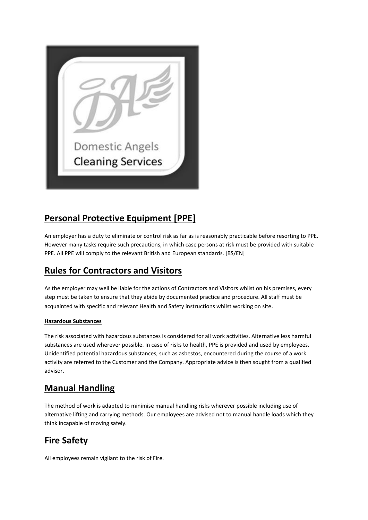

# **Personal Protective Equipment [PPE]**

An employer has a duty to eliminate or control risk as far as is reasonably practicable before resorting to PPE. However many tasks require such precautions, in which case persons at risk must be provided with suitable PPE. All PPE will comply to the relevant British and European standards. [BS/EN]

### **Rules for Contractors and Visitors**

As the employer may well be liable for the actions of Contractors and Visitors whilst on his premises, every step must be taken to ensure that they abide by documented practice and procedure. All staff must be acquainted with specific and relevant Health and Safety instructions whilst working on site.

#### **Hazardous Substances**

The risk associated with hazardous substances is considered for all work activities. Alternative less harmful substances are used wherever possible. In case of risks to health, PPE is provided and used by employees. Unidentified potential hazardous substances, such as asbestos, encountered during the course of a work activity are referred to the Customer and the Company. Appropriate advice is then sought from a qualified advisor.

### **Manual Handling**

The method of work is adapted to minimise manual handling risks wherever possible including use of alternative lifting and carrying methods. Our employees are advised not to manual handle loads which they think incapable of moving safely.

### **Fire Safety**

All employees remain vigilant to the risk of Fire.